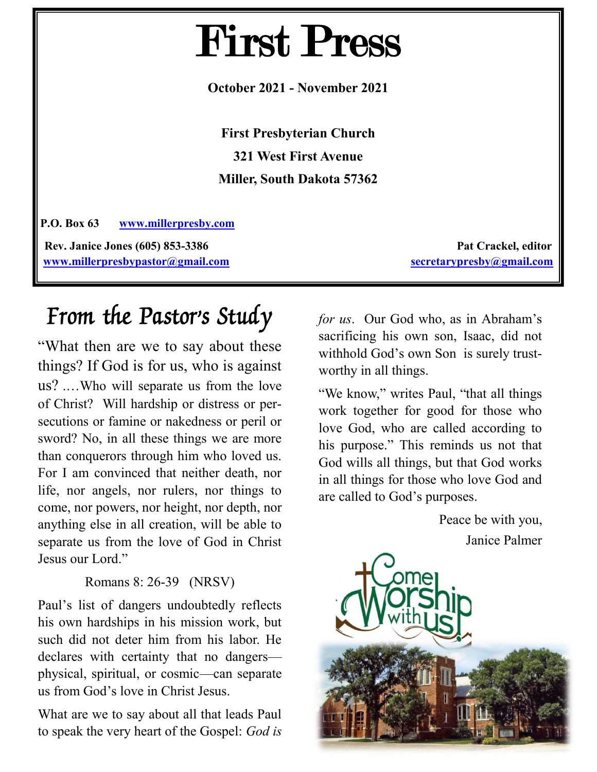# First Press

**October 2021 - November 2021**

**First Presbyterian Church 321 West First Avenue Miller, South Dakota 57362**

**P.O. Box 63 [www.millerpresby.com](http://www.millerpresby.com) Rev. Janice Jones (605) 853-3386 Pat Crackel, editor** 

**[www.millerpresbypastor@gmail.com](http://www.millerpresbypastor@gmail.com) [secretarypresby@gmail.com](mailto:secretarypresby@gmail.com)**

# From the Pastor's Study

"What then are we to say about these things? If God is for us, who is against us? .…Who will separate us from the love of Christ? Will hardship or distress or persecutions or famine or nakedness or peril or sword? No, in all these things we are more than conquerors through him who loved us. For I am convinced that neither death, nor life, nor angels, nor rulers, nor things to come, nor powers, nor height, nor depth, nor anything else in all creation, will be able to separate us from the love of God in Christ Jesus our Lord."

#### Romans 8: 26-39 (NRSV)

Paul's list of dangers undoubtedly reflects his own hardships in his mission work, but such did not deter him from his labor. He declares with certainty that no dangers physical, spiritual, or cosmic—can separate us from God's love in Christ Jesus.

What are we to say about all that leads Paul to speak the very heart of the Gospel: *God is*  *for us*. Our God who, as in Abraham's sacrificing his own son, Isaac, did not withhold God's own Son is surely trustworthy in all things.

"We know," writes Paul, "that all things work together for good for those who love God, who are called according to his purpose." This reminds us not that God wills all things, but that God works in all things for those who love God and are called to God's purposes.

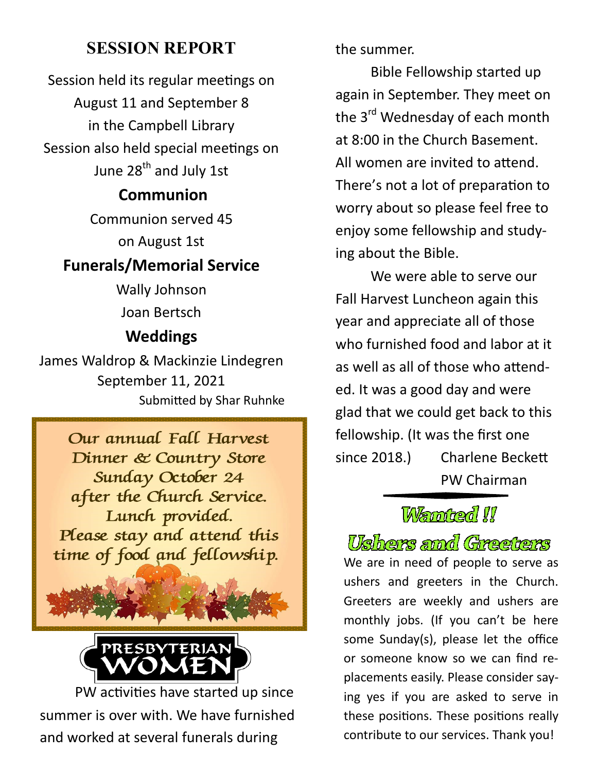## **SESSION REPORT**

Session held its regular meetings on August 11 and September 8 in the Campbell Library Session also held special meetings on June 28<sup>th</sup> and July 1st

# **Communion**

Communion served 45

on August 1st

# **Funerals/Memorial Service**

Wally Johnson Joan Bertsch

# **Weddings**

James Waldrop & Mackinzie Lindegren September 11, 2021 Submitted by Shar Ruhnke





PW activities have started up since summer is over with. We have furnished and worked at several funerals during

the summer.

Bible Fellowship started up again in September. They meet on the 3<sup>rd</sup> Wednesday of each month at 8:00 in the Church Basement. All women are invited to attend. There's not a lot of preparation to worry about so please feel free to enjoy some fellowship and studying about the Bible.

We were able to serve our Fall Harvest Luncheon again this year and appreciate all of those who furnished food and labor at it as well as all of those who attended. It was a good day and were glad that we could get back to this fellowship. (It was the first one since 2018.) Charlene Beckett PW Chairman

# Wernted !!

Ushers and Greeters We are in need of people to serve as ushers and greeters in the Church. Greeters are weekly and ushers are monthly jobs. (If you can't be here some Sunday(s), please let the office or someone know so we can find replacements easily. Please consider saying yes if you are asked to serve in these positions. These positions really contribute to our services. Thank you!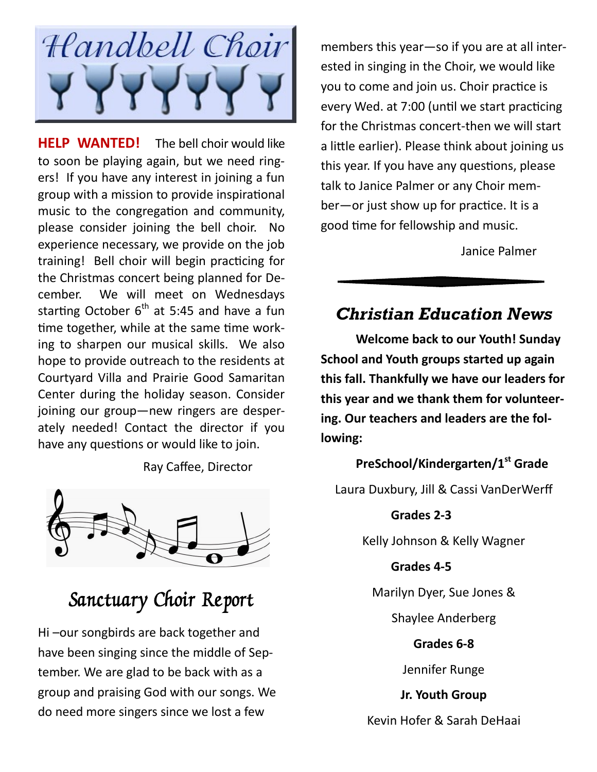

**HELP WANTED!** The bell choir would like to soon be playing again, but we need ringers! If you have any interest in joining a fun group with a mission to provide inspirational music to the congregation and community, please consider joining the bell choir. No experience necessary, we provide on the job training! Bell choir will begin practicing for the Christmas concert being planned for December. We will meet on Wednesdays starting October  $6<sup>th</sup>$  at 5:45 and have a fun time together, while at the same time working to sharpen our musical skills. We also hope to provide outreach to the residents at Courtyard Villa and Prairie Good Samaritan Center during the holiday season. Consider joining our group—new ringers are desperately needed! Contact the director if you have any questions or would like to join.

Ray Caffee, Director



# Sanctuary Choir Report

Hi –our songbirds are back together and have been singing since the middle of September. We are glad to be back with as a group and praising God with our songs. We do need more singers since we lost a few

members this year—so if you are at all interested in singing in the Choir, we would like you to come and join us. Choir practice is every Wed. at 7:00 (until we start practicing for the Christmas concert-then we will start a little earlier). Please think about joining us this year. If you have any questions, please talk to Janice Palmer or any Choir member—or just show up for practice. It is a good time for fellowship and music.

Janice Palmer

### *Christian Education News*

**Welcome back to our Youth! Sunday School and Youth groups started up again this fall. Thankfully we have our leaders for this year and we thank them for volunteering. Our teachers and leaders are the following:**

#### **PreSchool/Kindergarten/1st Grade**

Laura Duxbury, Jill & Cassi VanDerWerff

#### **Grades 2-3**

Kelly Johnson & Kelly Wagner

#### **Grades 4-5**

Marilyn Dyer, Sue Jones &

Shaylee Anderberg

**Grades 6-8**

Jennifer Runge

**Jr. Youth Group**

Kevin Hofer & Sarah DeHaai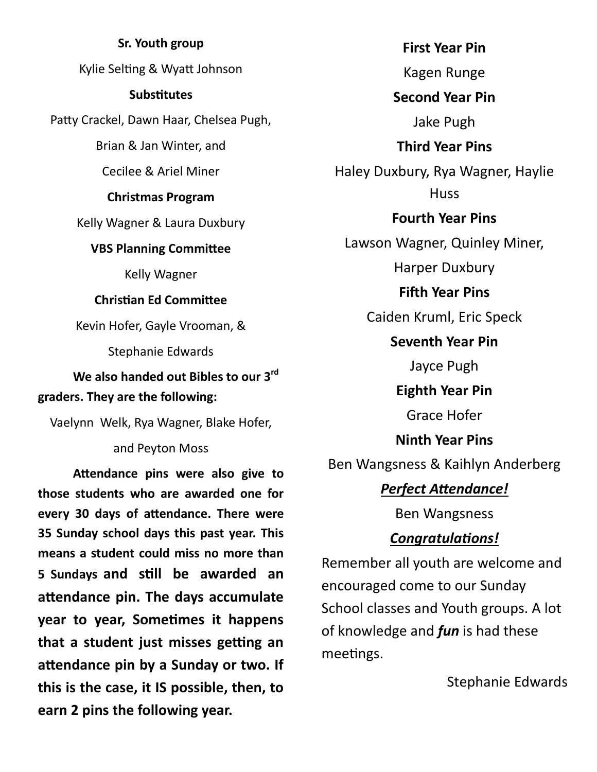**Sr. Youth group** Kylie Selting & Wyatt Johnson **Substitutes** Patty Crackel, Dawn Haar, Chelsea Pugh, Brian & Jan Winter, and Cecilee & Ariel Miner **Christmas Program** Kelly Wagner & Laura Duxbury **VBS Planning Committee** Kelly Wagner **Christian Ed Committee** Kevin Hofer, Gayle Vrooman, & Stephanie Edwards **We also handed out Bibles to our 3rd graders. They are the following:** Vaelynn Welk, Rya Wagner, Blake Hofer, and Peyton Moss

**Attendance pins were also give to those students who are awarded one for every 30 days of attendance. There were 35 Sunday school days this past year. This means a student could miss no more than 5 Sundays and still be awarded an attendance pin. The days accumulate year to year, Sometimes it happens that a student just misses getting an attendance pin by a Sunday or two. If this is the case, it IS possible, then, to earn 2 pins the following year.**

**First Year Pin** Kagen Runge **Second Year Pin** Jake Pugh **Third Year Pins** Haley Duxbury, Rya Wagner, Haylie **Huss Fourth Year Pins** Lawson Wagner, Quinley Miner, Harper Duxbury **Fifth Year Pins** Caiden Kruml, Eric Speck **Seventh Year Pin** Jayce Pugh **Eighth Year Pin** Grace Hofer **Ninth Year Pins** Ben Wangsness & Kaihlyn Anderberg *Perfect Attendance!* Ben Wangsness *Congratulations!*

Remember all youth are welcome and encouraged come to our Sunday School classes and Youth groups. A lot of knowledge and *fun* is had these meetings.

Stephanie Edwards